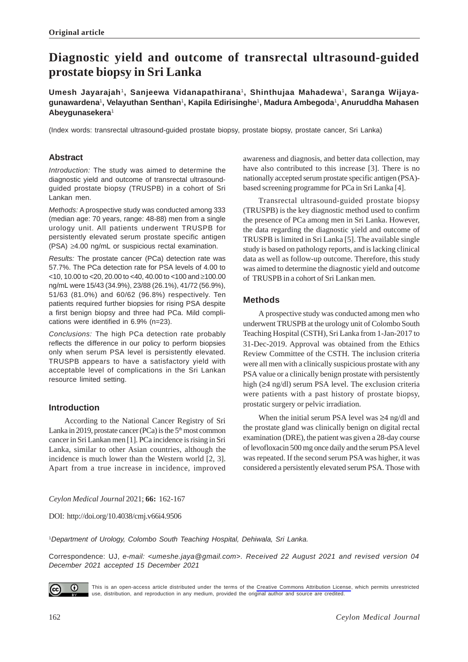# **Diagnostic yield and outcome of transrectal ultrasound-guided prostate biopsy in Sri Lanka**

**Umesh Jayarajah**1**, Sanjeewa Vidanapathirana**1**, Shinthujaa Mahadewa**1**, Saranga Wijayagunawardena**1**, Velayuthan Senthan**1**, Kapila Edirisinghe**1**, Madura Ambegoda**1**, Anuruddha Mahasen Abeygunasekera**<sup>1</sup>

(Index words: transrectal ultrasound-guided prostate biopsy, prostate biopsy, prostate cancer, Sri Lanka)

# **Abstract**

*Introduction:* The study was aimed to determine the diagnostic yield and outcome of transrectal ultrasoundguided prostate biopsy (TRUSPB) in a cohort of Sri Lankan men.

*Methods:* A prospective study was conducted among 333 (median age: 70 years, range: 48-88) men from a single urology unit. All patients underwent TRUSPB for persistently elevated serum prostate specific antigen (PSA) ≥4.00 ng/mL or suspicious rectal examination.

*Results:* The prostate cancer (PCa) detection rate was 57.7%. The PCa detection rate for PSA levels of 4.00 to <10, 10.00 to <20, 20.00 to <40, 40.00 to <100 and ≥100.00 ng/mL were 15/43 (34.9%), 23/88 (26.1%), 41/72 (56.9%), 51/63 (81.0%) and 60/62 (96.8%) respectively. Ten patients required further biopsies for rising PSA despite a first benign biopsy and three had PCa. Mild complications were identified in 6.9% (n=23).

*Conclusions:* The high PCa detection rate probably reflects the difference in our policy to perform biopsies only when serum PSA level is persistently elevated. TRUSPB appears to have a satisfactory yield with acceptable level of complications in the Sri Lankan resource limited setting.

# **Introduction**

According to the National Cancer Registry of Sri Lanka in 2019, prostate cancer (PCa) is the  $5<sup>th</sup>$  most common cancer in Sri Lankan men [1]. PCa incidence is rising in Sri Lanka, similar to other Asian countries, although the incidence is much lower than the Western world [2, 3]. Apart from a true increase in incidence, improved

awareness and diagnosis, and better data collection, may have also contributed to this increase [3]. There is no nationally accepted serum prostate specific antigen (PSA) based screening programme for PCa in Sri Lanka [4].

Transrectal ultrasound-guided prostate biopsy (TRUSPB) is the key diagnostic method used to confirm the presence of PCa among men in Sri Lanka. However, the data regarding the diagnostic yield and outcome of TRUSPB is limited in Sri Lanka [5]. The available single study is based on pathology reports, and is lacking clinical data as well as follow-up outcome. Therefore, this study was aimed to determine the diagnostic yield and outcome of TRUSPB in a cohort of Sri Lankan men.

# **Methods**

A prospective study was conducted among men who underwent TRUSPB at the urology unit of Colombo South Teaching Hospital (CSTH), Sri Lanka from 1-Jan-2017 to 31-Dec-2019. Approval was obtained from the Ethics Review Committee of the CSTH. The inclusion criteria were all men with a clinically suspicious prostate with any PSA value or a clinically benign prostate with persistently high (≥4 ng/dl) serum PSA level. The exclusion criteria were patients with a past history of prostate biopsy, prostatic surgery or pelvic irradiation.

When the initial serum PSA level was ≥4 ng/dl and the prostate gland was clinically benign on digital rectal examination (DRE), the patient was given a 28-day course of levofloxacin 500 mg once daily and the serum PSA level was repeated. If the second serum PSA was higher, it was considered a persistently elevated serum PSA. Those with

*Ceylon Medical Journal* 2021; **66:** 162-167

DOI: http://doi.org/10.4038/cmj.v66i4.9506

<sup>1</sup>*Department of Urology, Colombo South Teaching Hospital, Dehiwala, Sri Lanka.*

Correspondence: UJ, *e-mail: <umeshe.jaya@gmail.com>. Received 22 August 2021 and revised version 04 December 2021 accepted 15 December 2021*



This is an open-access article distributed under the terms of the [Creative Commons Attribution License](https://creativecommons.org/licenses/by/4.0/legalcode), which permits unrestricted use, distribution, and reproduction in any medium, provided the original author and source are credited.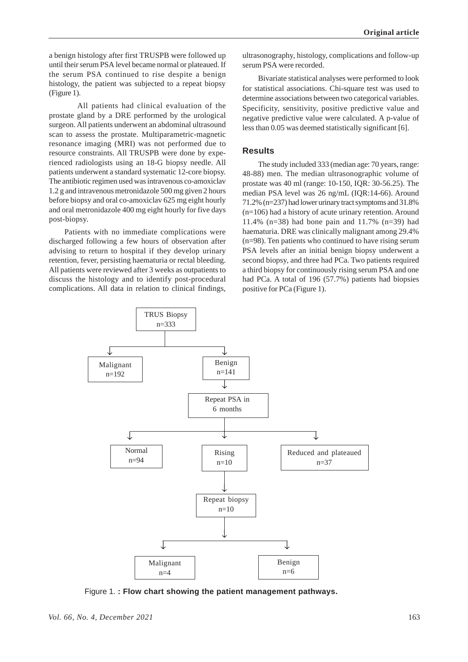a benign histology after first TRUSPB were followed up until their serum PSA level became normal or plateaued. If the serum PSA continued to rise despite a benign histology, the patient was subjected to a repeat biopsy (Figure 1).

All patients had clinical evaluation of the prostate gland by a DRE performed by the urological surgeon. All patients underwent an abdominal ultrasound scan to assess the prostate. Multiparametric-magnetic resonance imaging (MRI) was not performed due to resource constraints. All TRUSPB were done by experienced radiologists using an 18-G biopsy needle. All patients underwent a standard systematic 12-core biopsy. The antibiotic regimen used was intravenous co-amoxiclav 1.2 g and intravenous metronidazole 500 mg given 2 hours before biopsy and oral co-amoxiclav 625 mg eight hourly and oral metronidazole 400 mg eight hourly for five days post-biopsy.

Patients with no immediate complications were discharged following a few hours of observation after advising to return to hospital if they develop urinary retention, fever, persisting haematuria or rectal bleeding. All patients were reviewed after 3 weeks as outpatients to discuss the histology and to identify post-procedural complications. All data in relation to clinical findings,

ultrasonography, histology, complications and follow-up serum PSA were recorded.

Bivariate statistical analyses were performed to look for statistical associations. Chi-square test was used to determine associations between two categorical variables. Specificity, sensitivity, positive predictive value and negative predictive value were calculated. A p-value of less than 0.05 was deemed statistically significant [6].

## **Results**

The study included 333 (median age: 70 years, range: 48-88) men. The median ultrasonographic volume of prostate was 40 ml (range: 10-150, IQR: 30-56.25). The median PSA level was 26 ng/mL (IQR:14-66). Around 71.2% (n=237) had lower urinary tract symptoms and 31.8% (n=106) had a history of acute urinary retention. Around 11.4% (n=38) had bone pain and 11.7% (n=39) had haematuria. DRE was clinically malignant among 29.4% (n=98). Ten patients who continued to have rising serum PSA levels after an initial benign biopsy underwent a second biopsy, and three had PCa. Two patients required a third biopsy for continuously rising serum PSA and one had PCa. A total of 196 (57.7%) patients had biopsies positive for PCa (Figure 1).



Figure 1. **: Flow chart showing the patient management pathways.**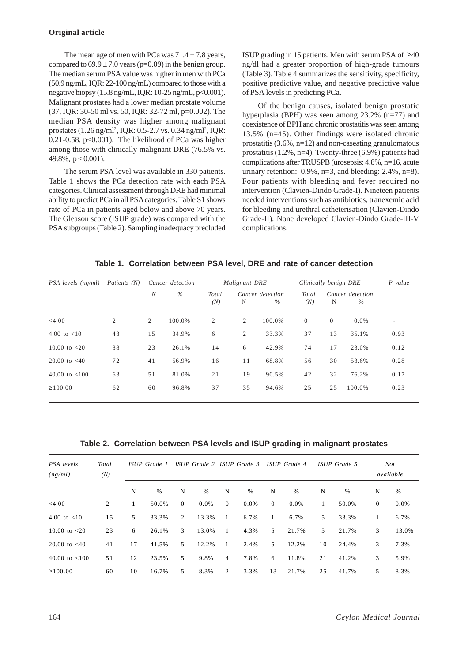The mean age of men with PCa was  $71.4 \pm 7.8$  years, compared to  $69.9 \pm 7.0$  years (p=0.09) in the benign group. The median serum PSA value was higher in men with PCa (50.9 ng/mL, IQR: 22-100 ng/mL) compared to those with a negative biopsy (15.8 ng/mL, IQR: 10-25 ng/mL, p<0.001). Malignant prostates had a lower median prostate volume (37, IQR: 30-50 ml vs. 50, IQR: 32-72 ml, p=0.002). The median PSA density was higher among malignant prostates (1.26 ng/ml<sup>2</sup>, IQR: 0.5-2.7 vs. 0.34 ng/ml<sup>2</sup>, IQR: 0.21-0.58, p<0.001). The likelihood of PCa was higher among those with clinically malignant DRE (76.5% vs. 49.8%,  $p < 0.001$ ).

The serum PSA level was available in 330 patients. Table 1 shows the PCa detection rate with each PSA categories. Clinical assessment through DRE had minimal ability to predict PCa in all PSA categories. Table S1 shows rate of PCa in patients aged below and above 70 years. The Gleason score (ISUP grade) was compared with the PSA subgroups (Table 2). Sampling inadequacy precluded ISUP grading in 15 patients. Men with serum PSA of ≥40 ng/dl had a greater proportion of high-grade tumours (Table 3). Table 4 summarizes the sensitivity, specificity, positive predictive value, and negative predictive value of PSA levels in predicting PCa.

Of the benign causes, isolated benign prostatic hyperplasia (BPH) was seen among 23.2% (n=77) and coexistence of BPH and chronic prostatitis was seen among 13.5% (n=45). Other findings were isolated chronic prostatitis  $(3.6\% \text{ n} = 12)$  and non-caseating granulomatous prostatitis (1.2%, n=4). Twenty-three (6.9%) patients had complications after TRUSPB (urosepsis: 4.8%, n=16, acute urinary retention:  $0.9\%$ ,  $n=3$ , and bleeding:  $2.4\%$ ,  $n=8$ ). Four patients with bleeding and fever required no intervention (Clavien-Dindo Grade-I). Nineteen patients needed interventions such as antibiotics, tranexemic acid for bleeding and urethral catheterisation (Clavien-Dindo Grade-II). None developed Clavien-Dindo Grade-III-V complications.

**Table 1. Correlation between PSA level, DRE and rate of cancer detection**

| PSA levels (ng/ml) | Patients (N) | Cancer detection |        |              | Malignant DRE  |                          | Clinically benign DRE | $P$ value |                       |      |
|--------------------|--------------|------------------|--------|--------------|----------------|--------------------------|-----------------------|-----------|-----------------------|------|
|                    |              | $\boldsymbol{N}$ | $\%$   | Total<br>(N) | N              | Cancer detection<br>$\%$ | Total<br>(N)          | N         | Cancer detection<br>% |      |
| $<$ 4.00           | 2            | 2                | 100.0% | 2            | 2              | 100.0%                   | $\overline{0}$        | $\Omega$  | $0.0\%$               |      |
| 4.00 to $< 10$     | 43           | 15               | 34.9%  | 6            | $\overline{2}$ | 33.3%                    | 37                    | 13        | 35.1%                 | 0.93 |
| 10.00 to $<$ 20    | 88           | 23               | 26.1%  | 14           | 6              | 42.9%                    | 74                    | 17        | 23.0%                 | 0.12 |
| 20.00 to $<$ 40    | 72           | 41               | 56.9%  | 16           | 11             | 68.8%                    | 56                    | 30        | 53.6%                 | 0.28 |
| $40.00$ to $< 100$ | 63           | 51               | 81.0%  | 21           | 19             | 90.5%                    | 42                    | 32        | 76.2%                 | 0.17 |
| $\geq 100.00$      | 62           | 60               | 96.8%  | 37           | 35             | 94.6%                    | 25                    | 25        | 100.0%                | 0.23 |

**Table 2. Correlation between PSA levels and ISUP grading in malignant prostates**

| PSA levels<br>Total<br>(N)<br>(ng/ml) |    | ISUP Grade 1 |       | ISUP Grade 2 ISUP Grade 3 |       |                |      | ISUP Grade 4 |       | <i>ISUP</i> Grade 5 |       | Not<br>available |       |
|---------------------------------------|----|--------------|-------|---------------------------|-------|----------------|------|--------------|-------|---------------------|-------|------------------|-------|
|                                       |    | N            | %     | N                         | $\%$  | N              | $\%$ | N            | $\%$  | N                   | $\%$  | N                | $\%$  |
| $<$ 4.00                              | 2  | 1            | 50.0% | $\overline{0}$            | 0.0%  | $\overline{0}$ | 0.0% | $\mathbf{0}$ | 0.0%  | 1                   | 50.0% | $\boldsymbol{0}$ | 0.0%  |
| 4.00 to $< 10$                        | 15 | 5            | 33.3% | $\overline{2}$            | 13.3% | $\overline{1}$ | 6.7% | $\mathbf{1}$ | 6.7%  | 5                   | 33.3% | 1                | 6.7%  |
| 10.00 to $<$ 20                       | 23 | 6            | 26.1% | 3                         | 13.0% | 1              | 4.3% | 5            | 21.7% | 5                   | 21.7% | 3                | 13.0% |
| 20.00 to $< 40$                       | 41 | 17           | 41.5% | 5                         | 12.2% | $\mathbf{1}$   | 2.4% | 5            | 12.2% | 10                  | 24.4% | 3                | 7.3%  |
| 40.00 to $< 100$                      | 51 | 12           | 23.5% | 5                         | 9.8%  | 4              | 7.8% | 6            | 11.8% | 21                  | 41.2% | 3                | 5.9%  |
| $\geq 100.00$                         | 60 | 10           | 16.7% | 5                         | 8.3%  | 2              | 3.3% | 13           | 21.7% | 25                  | 41.7% | 5                | 8.3%  |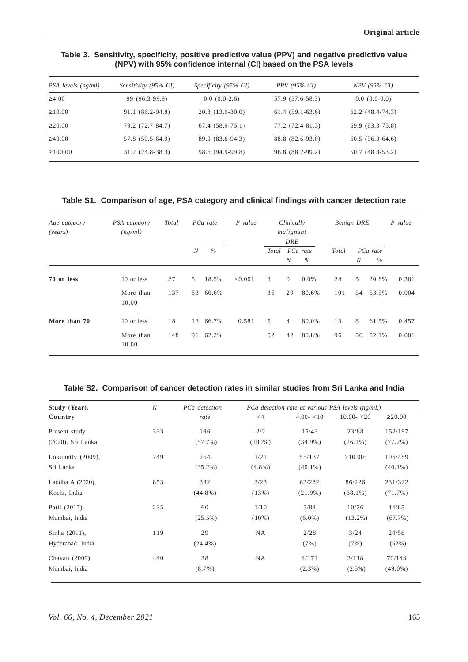## **Table 3. Sensitivity, specificity, positive predictive value (PPV) and negative predictive value (NPV) with 95% confidence internal (CI) based on the PSA levels**

| PSA levels (ng/ml) | Sensitivity (95% CI) | Specificity (95% CI) | <i>PPV</i> (95% CI) | <i>NPV</i> (95% CI) |
|--------------------|----------------------|----------------------|---------------------|---------------------|
| $\geq 4.00$        | 99 (96.3-99.9)       | $0.0(0.0-2.6)$       | 57.9 (57.6-58.3)    | $0.0(0.0-0.0)$      |
| $\geq 10.00$       | 91.1 (86.2-94.8)     | $20.3(13.9-30.0)$    | $61.4(59.1-63.6)$   | $62.2(48.4-74.3)$   |
| $\geq 20.00$       | 79.2 (72.7-84.7)     | $67.4(58.9-75.1)$    | 77.2 (72.4-81.3)    | $69.9(63.3-75.8)$   |
| $\geq 40.00$       | 57.8 (50.5-64.9)     | 89.9 (83.6-94.3)     | 88.8 (82.6-93.0)    | $60.5(56.3-64.6)$   |
| $\geq 100.00$      | $31.2(24.8-38.3)$    | 98.6 (94.9-99.8)     | 96.8 (88.2-99.2)    | 50.7 (48.3-53.2)    |

## **Table S1. Comparison of age, PSA category and clinical findings with cancer detection rate**

| Age category<br>( <i>years</i> ) | PSA category<br>(ng/ml)          | <b>Total</b> | PCa rate |                      | $P$ value | Clinically<br>malignant<br>DRE |                      |                | <b>Benign DRE</b> |                  |                   | $P$ value      |
|----------------------------------|----------------------------------|--------------|----------|----------------------|-----------|--------------------------------|----------------------|----------------|-------------------|------------------|-------------------|----------------|
|                                  |                                  |              | N        | $\%$                 |           | Total PCa rate                 | N                    | %              | Total             | $\boldsymbol{N}$ | PCa rate<br>$\%$  |                |
| 70 or less                       | 10 or less<br>More than<br>10.00 | 27<br>137    | 5        | 18.5%<br>83 60.6%    | < 0.001   | $\mathfrak{Z}$<br>36           | $\overline{0}$<br>29 | 0.0%<br>80.6%  | 24<br>101         | 5                | 20.8%<br>54 53.5% | 0.381<br>0.004 |
| More than 70                     | 10 or less<br>More than<br>10.00 | 18<br>148    |          | 13 66.7%<br>91 62.2% | 0.581     | 5<br>52                        | $\overline{4}$<br>42 | 80.0%<br>80.8% | 13<br>96          | 8<br>50          | 61.5%<br>52.1%    | 0.457<br>0.001 |

#### **Table S2. Comparison of cancer detection rates in similar studies from Sri Lanka and India**

| Study (Year),     | $\mathcal N$ | PCa detection |           | PCa detection rate at various PSA levels (ng/mL) |              |              |
|-------------------|--------------|---------------|-----------|--------------------------------------------------|--------------|--------------|
| Country           |              | rate          | $\leq$ 4  | $4.00 - 10$                                      | $10.00 - 20$ | $\geq 20.00$ |
| Present study     | 333          | 196           | 2/2       | 15/43                                            | 23/88        | 152/197      |
| (2020), Sri Lanka |              | (57.7%)       | $(100\%)$ | $(34.9\%)$                                       | $(26.1\%)$   | $(77.2\%)$   |
| Lokuhetty (2009), | 749          | 264           | 1/21      | 55/137                                           | $>10.00$ :   | 196/489      |
| Sri Lanka         |              | $(35.2\%)$    | $(4.8\%)$ | $(40.1\%)$                                       |              | $(40.1\%)$   |
| Laddha A (2020),  | 853          | 382           | 3/23      | 62/282                                           | 86/226       | 231/322      |
| Kochi, India      |              | $(44.8\%)$    | (13%)     | $(21.9\%)$                                       | $(38.1\%)$   | $(71.7\%)$   |
| Patil (2017),     | 235          | 60            | 1/10      | 5/84                                             | 10/76        | 44/65        |
| Mumbai, India     |              | $(25.5\%)$    | $(10\%)$  | $(6.0\%)$                                        | $(13.2\%)$   | (67.7%)      |
| Sinha (2011),     | 119          | 29            | <b>NA</b> | 2/28                                             | 3/24         | 24/56        |
| Hyderabad, India  |              | $(24.4\%)$    |           | (7%)                                             | (7%)         | (52%)        |
| Chavan (2009),    | 440          | 38            | <b>NA</b> | 4/171                                            | 3/118        | 70/143       |
| Mumbai, India     |              | $(8.7\%)$     |           | $(2.3\%)$                                        | $(2.5\%)$    | $(49.0\%)$   |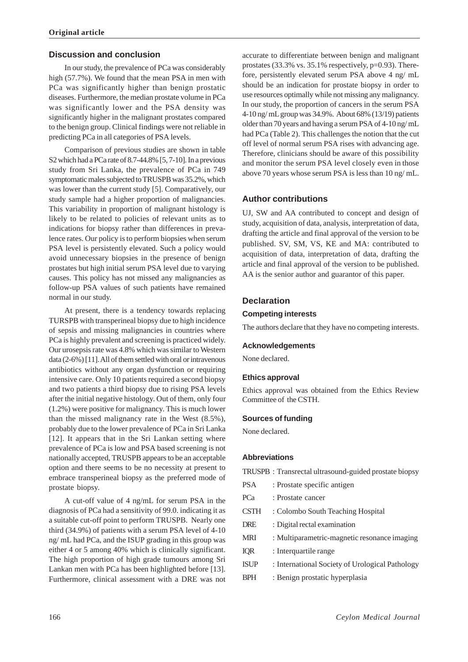# **Discussion and conclusion**

In our study, the prevalence of PCa was considerably high (57.7%). We found that the mean PSA in men with PCa was significantly higher than benign prostatic diseases. Furthermore, the median prostate volume in PCa was significantly lower and the PSA density was significantly higher in the malignant prostates compared to the benign group. Clinical findings were not reliable in predicting PCa in all categories of PSA levels.

Comparison of previous studies are shown in table S2 which had a PCa rate of 8.7-44.8% [5, 7-10]. In a previous study from Sri Lanka, the prevalence of PCa in 749 symptomatic males subjected to TRUSPB was 35.2%, which was lower than the current study [5]. Comparatively, our study sample had a higher proportion of malignancies. This variability in proportion of malignant histology is likely to be related to policies of relevant units as to indications for biopsy rather than differences in prevalence rates. Our policy is to perform biopsies when serum PSA level is persistently elevated. Such a policy would avoid unnecessary biopsies in the presence of benign prostates but high initial serum PSA level due to varying causes. This policy has not missed any malignancies as follow-up PSA values of such patients have remained normal in our study.

At present, there is a tendency towards replacing TURSPB with transperineal biopsy due to high incidence of sepsis and missing malignancies in countries where PCa is highly prevalent and screening is practiced widely. Our urosepsis rate was 4.8% which was similar to Western data (2-6%) [11]. All of them settled with oral or intravenous antibiotics without any organ dysfunction or requiring intensive care. Only 10 patients required a second biopsy and two patients a third biopsy due to rising PSA levels after the initial negative histology. Out of them, only four (1.2%) were positive for malignancy. This is much lower than the missed malignancy rate in the West (8.5%), probably due to the lower prevalence of PCa in Sri Lanka [12]. It appears that in the Sri Lankan setting where prevalence of PCa is low and PSA based screening is not nationally accepted, TRUSPB appears to be an acceptable option and there seems to be no necessity at present to embrace transperineal biopsy as the preferred mode of prostate biopsy.

A cut-off value of 4 ng/mL for serum PSA in the diagnosis of PCa had a sensitivity of 99.0. indicating it as a suitable cut-off point to perform TRUSPB. Nearly one third (34.9%) of patients with a serum PSA level of 4-10 ng/ mL had PCa, and the ISUP grading in this group was either 4 or 5 among 40% which is clinically significant. The high proportion of high grade tumours among Sri Lankan men with PCa has been highlighted before [13]. Furthermore, clinical assessment with a DRE was not accurate to differentiate between benign and malignant prostates  $(33.3\% \text{ vs. } 35.1\% \text{ respectively, } p=0.93)$ . Therefore, persistently elevated serum PSA above 4 ng/ mL should be an indication for prostate biopsy in order to use resources optimally while not missing any malignancy. In our study, the proportion of cancers in the serum PSA 4-10 ng/ mL group was 34.9%. About 68% (13/19) patients older than 70 years and having a serum PSA of 4-10 ng/ mL had PCa (Table 2). This challenges the notion that the cut off level of normal serum PSA rises with advancing age. Therefore, clinicians should be aware of this possibility and monitor the serum PSA level closely even in those above 70 years whose serum PSA is less than 10 ng/ mL.

# **Author contributions**

UJ, SW and AA contributed to concept and design of study, acquisition of data, analysis, interpretation of data, drafting the article and final approval of the version to be published. SV, SM, VS, KE and MA: contributed to acquisition of data, interpretation of data, drafting the article and final approval of the version to be published. AA is the senior author and guarantor of this paper.

### **Declaration**

#### **Competing interests**

The authors declare that they have no competing interests.

### **Acknowledgements**

None declared.

### **Ethics approval**

Ethics approval was obtained from the Ethics Review Committee of the CSTH.

### **Sources of funding**

None declared.

#### **Abbreviations**

|  |  | TRUSPB: Transrectal ultrasound-guided prostate biopsy |  |  |  |  |  |  |  |
|--|--|-------------------------------------------------------|--|--|--|--|--|--|--|
|--|--|-------------------------------------------------------|--|--|--|--|--|--|--|

- PSA : Prostate specific antigen
- PCa : Prostate cancer
- CSTH : Colombo South Teaching Hospital
- DRE : Digital rectal examination
- MRI : Multiparametric-magnetic resonance imaging
- IQR : Interquartile range
- ISUP : International Society of Urological Pathology
- BPH : Benign prostatic hyperplasia